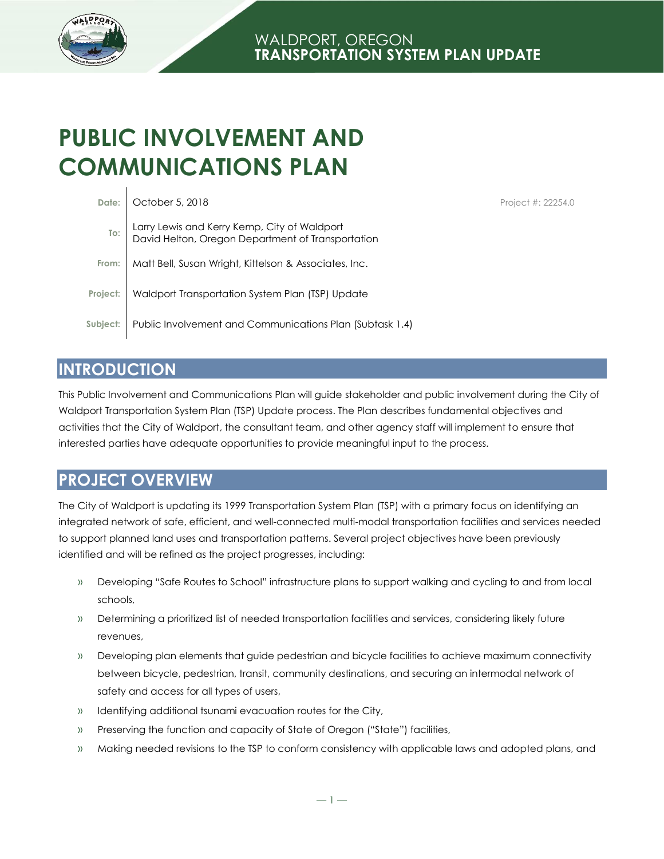

# **PUBLIC INVOLVEMENT AND COMMUNICATIONS PLAN**

|       | Date: October 5, 2018                                                                                     |
|-------|-----------------------------------------------------------------------------------------------------------|
|       | To:   Larry Lewis and Kerry Kemp, City of Waldport<br>  David Helton, Oregon Department of Transportation |
| From: | Matt Bell, Susan Wright, Kittelson & Associates, Inc.                                                     |
|       | Project: Waldport Transportation System Plan (TSP) Update                                                 |
|       | Subject: Public Involvement and Communications Plan (Subtask 1.4)                                         |

Project #: 22254.0

### **INTRODUCTION**

This Public Involvement and Communications Plan will guide stakeholder and public involvement during the City of Waldport Transportation System Plan (TSP) Update process. The Plan describes fundamental objectives and activities that the City of Waldport, the consultant team, and other agency staff will implement to ensure that interested parties have adequate opportunities to provide meaningful input to the process.

# **PROJECT OVERVIEW**

The City of Waldport is updating its 1999 Transportation System Plan (TSP) with a primary focus on identifying an integrated network of safe, efficient, and well-connected multi-modal transportation facilities and services needed to support planned land uses and transportation patterns. Several project objectives have been previously identified and will be refined as the project progresses, including:

- » Developing "Safe Routes to School" infrastructure plans to support walking and cycling to and from local schools,
- » Determining a prioritized list of needed transportation facilities and services, considering likely future revenues,
- » Developing plan elements that guide pedestrian and bicycle facilities to achieve maximum connectivity between bicycle, pedestrian, transit, community destinations, and securing an intermodal network of safety and access for all types of users,
- » Identifying additional tsunami evacuation routes for the City,
- » Preserving the function and capacity of State of Oregon ("State") facilities,
- » Making needed revisions to the TSP to conform consistency with applicable laws and adopted plans, and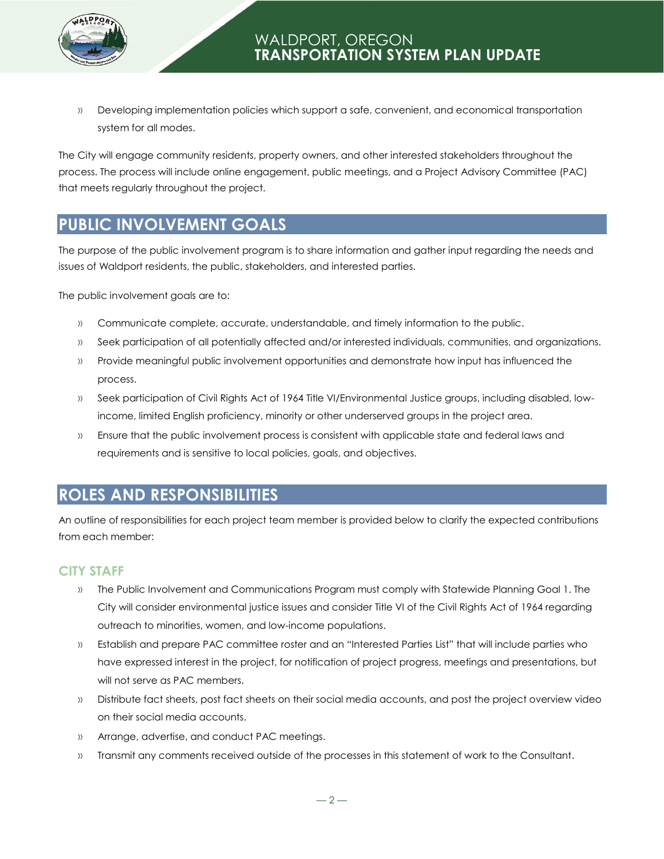



» Developing implementation policies which support a safe, convenient, and economical transportation system for all modes.

The City will engage community residents, property owners, and other interested stakeholders throughout the process. The process will include online engagement, public meetings, and a Project Advisory Committee (PAC) that meets regularly throughout the project.

### **PUBLIC INVOLVEMENT GOALS**

The purpose of the public involvement program is to share information and gather input regarding the needs and issues of Waldport residents, the public, stakeholders, and interested parties.

The public involvement goals are to:

- » Communicate complete, accurate, understandable, and timely information to the public.
- » Seek participation of all potentially affected and/or interested individuals, communities, and organizations.
- » Provide meaningful public involvement opportunities and demonstrate how input has influenced the process.
- » Seek participation of Civil Rights Act of 1964 Title VI/Environmental Justice groups, including disabled, lowincome, limited English proficiency, minority or other underserved groups in the project area.
- » Ensure that the public involvement process is consistent with applicable state and federal laws and requirements and is sensitive to local policies, goals, and objectives.

# **ROLES AND RESPONSIBILITIES**

An outline of responsibilities for each project team member is provided below to clarify the expected contributions from each member:

#### **CITY STAFF**

- » The Public Involvement and Communications Program must comply with Statewide Planning Goal 1. The City will consider environmental justice issues and consider Title VI of the Civil Rights Act of 1964 regarding outreach to minorities, women, and low-income populations.
- » Establish and prepare PAC committee roster and an "Interested Parties List" that will include parties who have expressed interest in the project, for notification of project progress, meetings and presentations, but will not serve as PAC members.
- » Distribute fact sheets, post fact sheets on their social media accounts, and post the project overview video on their social media accounts.
- » Arrange, advertise, and conduct PAC meetings.
- » Transmit any comments received outside of the processes in this statement of work to the Consultant.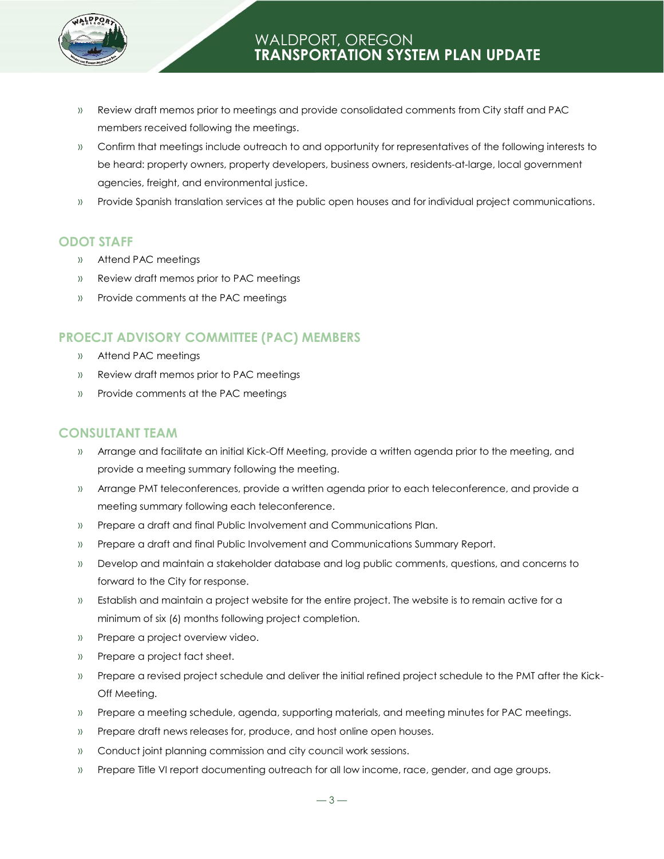

- » Review draft memos prior to meetings and provide consolidated comments from City staff and PAC members received following the meetings.
- » Confirm that meetings include outreach to and opportunity for representatives of the following interests to be heard: property owners, property developers, business owners, residents-at-large, local government agencies, freight, and environmental justice.
- » Provide Spanish translation services at the public open houses and for individual project communications.

#### **ODOT STAFF**

- » Attend PAC meetings
- » Review draft memos prior to PAC meetings
- » Provide comments at the PAC meetings

#### **PROECJT ADVISORY COMMITTEE (PAC) MEMBERS**

- » Attend PAC meetings
- » Review draft memos prior to PAC meetings
- » Provide comments at the PAC meetings

#### **CONSULTANT TEAM**

- » Arrange and facilitate an initial Kick-Off Meeting, provide a written agenda prior to the meeting, and provide a meeting summary following the meeting.
- » Arrange PMT teleconferences, provide a written agenda prior to each teleconference, and provide a meeting summary following each teleconference.
- » Prepare a draft and final Public Involvement and Communications Plan.
- » Prepare a draft and final Public Involvement and Communications Summary Report.
- » Develop and maintain a stakeholder database and log public comments, questions, and concerns to forward to the City for response.
- » Establish and maintain a project website for the entire project. The website is to remain active for a minimum of six (6) months following project completion.
- » Prepare a project overview video.
- » Prepare a project fact sheet.
- » Prepare a revised project schedule and deliver the initial refined project schedule to the PMT after the Kick-Off Meeting.
- » Prepare a meeting schedule, agenda, supporting materials, and meeting minutes for PAC meetings.
- » Prepare draft news releases for, produce, and host online open houses.
- » Conduct joint planning commission and city council work sessions.
- » Prepare Title VI report documenting outreach for all low income, race, gender, and age groups.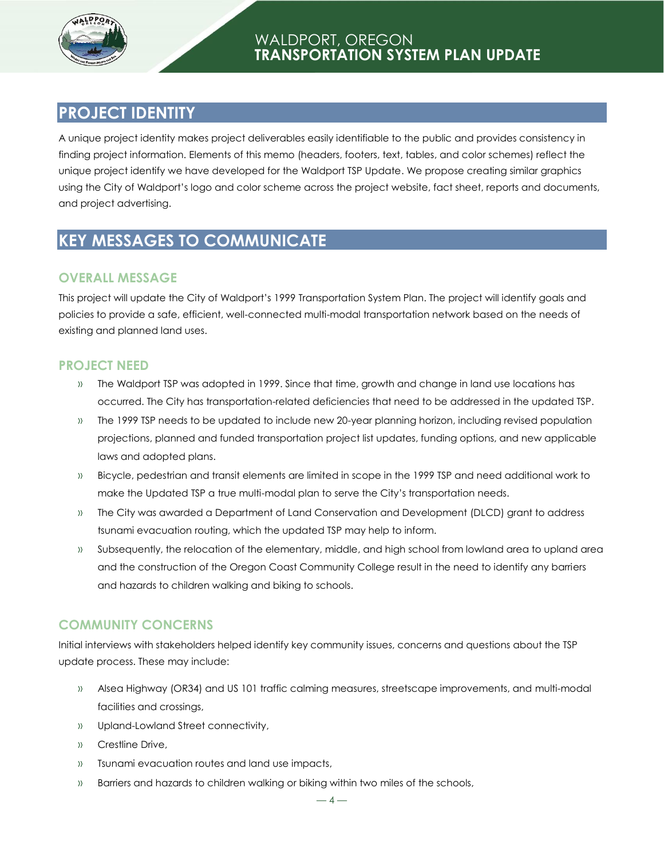

### **PROJECT IDENTITY**

A unique project identity makes project deliverables easily identifiable to the public and provides consistency in finding project information. Elements of this memo (headers, footers, text, tables, and color schemes) reflect the unique project identify we have developed for the Waldport TSP Update. We propose creating similar graphics using the City of Waldport's logo and color scheme across the project website, fact sheet, reports and documents, and project advertising.

# **KEY MESSAGES TO COMMUNICATE**

#### **OVERALL MESSAGE**

This project will update the City of Waldport's 1999 Transportation System Plan. The project will identify goals and policies to provide a safe, efficient, well-connected multi-modal transportation network based on the needs of existing and planned land uses.

#### **PROJECT NEED**

- » The Waldport TSP was adopted in 1999. Since that time, growth and change in land use locations has occurred. The City has transportation-related deficiencies that need to be addressed in the updated TSP.
- » The 1999 TSP needs to be updated to include new 20-year planning horizon, including revised population projections, planned and funded transportation project list updates, funding options, and new applicable laws and adopted plans.
- » Bicycle, pedestrian and transit elements are limited in scope in the 1999 TSP and need additional work to make the Updated TSP a true multi-modal plan to serve the City's transportation needs.
- » The City was awarded a Department of Land Conservation and Development (DLCD) grant to address tsunami evacuation routing, which the updated TSP may help to inform.
- » Subsequently, the relocation of the elementary, middle, and high school from lowland area to upland area and the construction of the Oregon Coast Community College result in the need to identify any barriers and hazards to children walking and biking to schools.

#### **COMMUNITY CONCERNS**

Initial interviews with stakeholders helped identify key community issues, concerns and questions about the TSP update process. These may include:

- » Alsea Highway (OR34) and US 101 traffic calming measures, streetscape improvements, and multi-modal facilities and crossings,
- » Upland-Lowland Street connectivity,
- » Crestline Drive,
- » Tsunami evacuation routes and land use impacts,
- » Barriers and hazards to children walking or biking within two miles of the schools,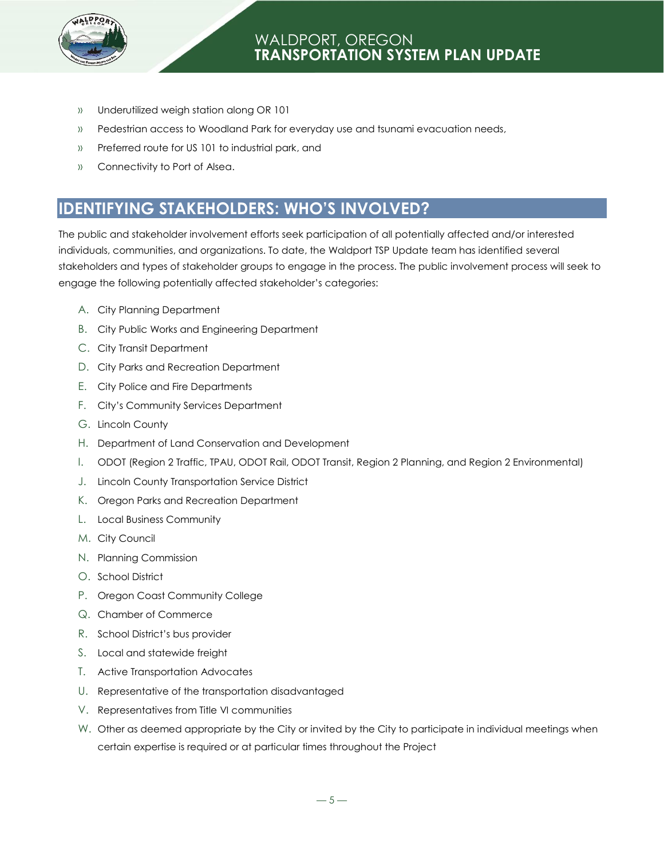

- » Underutilized weigh station along OR 101
- » Pedestrian access to Woodland Park for everyday use and tsunami evacuation needs,
- » Preferred route for US 101 to industrial park, and
- » Connectivity to Port of Alsea.

# **IDENTIFYING STAKEHOLDERS: WHO'S INVOLVED?**

The public and stakeholder involvement efforts seek participation of all potentially affected and/or interested individuals, communities, and organizations. To date, the Waldport TSP Update team has identified several stakeholders and types of stakeholder groups to engage in the process. The public involvement process will seek to engage the following potentially affected stakeholder's categories:

- A. City Planning Department
- B. City Public Works and Engineering Department
- C. City Transit Department
- D. City Parks and Recreation Department
- E. City Police and Fire Departments
- F. City's Community Services Department
- G. Lincoln County
- H. Department of Land Conservation and Development
- I. ODOT (Region 2 Traffic, TPAU, ODOT Rail, ODOT Transit, Region 2 Planning, and Region 2 Environmental)
- J. Lincoln County Transportation Service District
- K. Oregon Parks and Recreation Department
- L. Local Business Community
- M. City Council
- N. Planning Commission
- O. School District
- P. Oregon Coast Community College
- Q. Chamber of Commerce
- R. School District's bus provider
- S. Local and statewide freight
- T. Active Transportation Advocates
- U. Representative of the transportation disadvantaged
- V. Representatives from Title VI communities
- W. Other as deemed appropriate by the City or invited by the City to participate in individual meetings when certain expertise is required or at particular times throughout the Project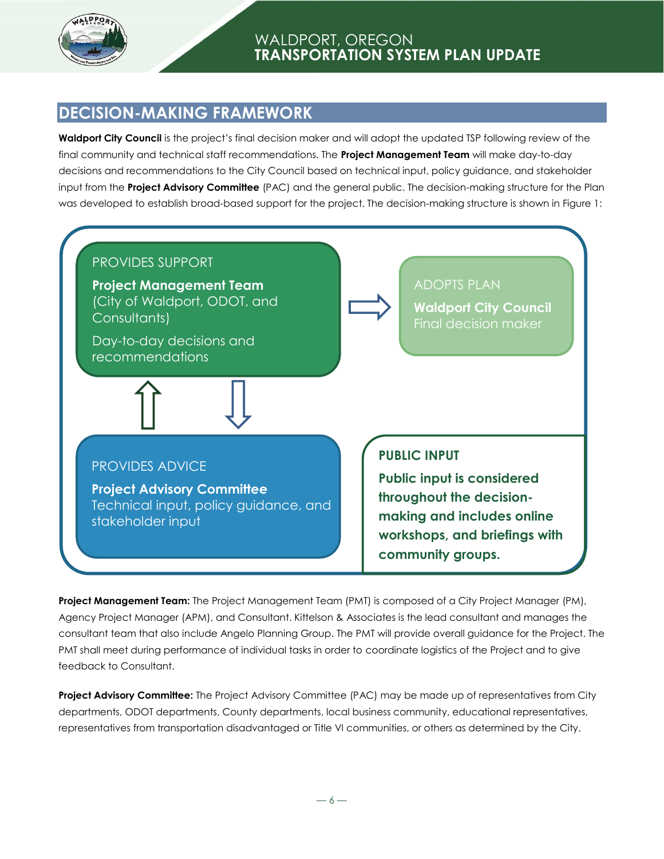

## **DECISION-MAKING FRAMEWORK**

**Waldport City Council** is the project's final decision maker and will adopt the updated TSP following review of the final community and technical staff recommendations. The **Project Management Team** will make day-to-day decisions and recommendations to the City Council based on technical input, policy guidance, and stakeholder input from the **Project Advisory Committee** (PAC) and the general public. The decision-making structure for the Plan was developed to establish broad-based support for the project. The decision-making structure is shown in Figure 1:



**Project Management Team:** The Project Management Team (PMT) is composed of a City Project Manager (PM), Agency Project Manager (APM), and Consultant. Kittelson & Associates is the lead consultant and manages the consultant team that also include Angelo Planning Group. The PMT will provide overall guidance for the Project. The PMT shall meet during performance of individual tasks in order to coordinate logistics of the Project and to give feedback to Consultant.

**Project Advisory Committee:** The Project Advisory Committee (PAC) may be made up of representatives from City departments, ODOT departments, County departments, local business community, educational representatives, representatives from transportation disadvantaged or Title VI communities, or others as determined by the City.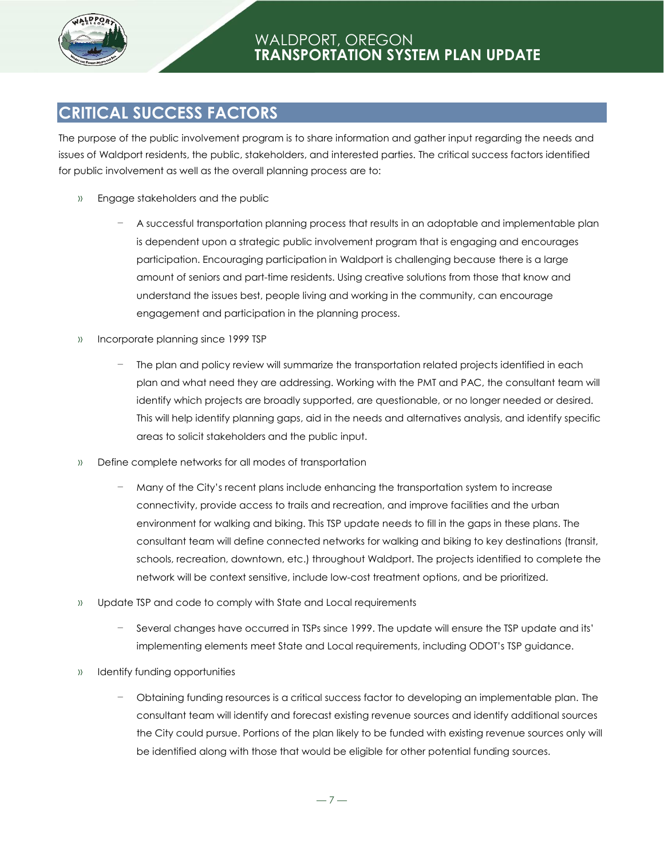

# **CRITICAL SUCCESS FACTORS**

The purpose of the public involvement program is to share information and gather input regarding the needs and issues of Waldport residents, the public, stakeholders, and interested parties. The critical success factors identified for public involvement as well as the overall planning process are to:

- » Engage stakeholders and the public
	- − A successful transportation planning process that results in an adoptable and implementable plan is dependent upon a strategic public involvement program that is engaging and encourages participation. Encouraging participation in Waldport is challenging because there is a large amount of seniors and part-time residents. Using creative solutions from those that know and understand the issues best, people living and working in the community, can encourage engagement and participation in the planning process.
- » Incorporate planning since 1999 TSP
	- The plan and policy review will summarize the transportation related projects identified in each plan and what need they are addressing. Working with the PMT and PAC, the consultant team will identify which projects are broadly supported, are questionable, or no longer needed or desired. This will help identify planning gaps, aid in the needs and alternatives analysis, and identify specific areas to solicit stakeholders and the public input.
- » Define complete networks for all modes of transportation
	- Many of the City's recent plans include enhancing the transportation system to increase connectivity, provide access to trails and recreation, and improve facilities and the urban environment for walking and biking. This TSP update needs to fill in the gaps in these plans. The consultant team will define connected networks for walking and biking to key destinations (transit, schools, recreation, downtown, etc.) throughout Waldport. The projects identified to complete the network will be context sensitive, include low-cost treatment options, and be prioritized.
- » Update TSP and code to comply with State and Local requirements
	- − Several changes have occurred in TSPs since 1999. The update will ensure the TSP update and its' implementing elements meet State and Local requirements, including ODOT's TSP guidance.
- » Identify funding opportunities
	- − Obtaining funding resources is a critical success factor to developing an implementable plan. The consultant team will identify and forecast existing revenue sources and identify additional sources the City could pursue. Portions of the plan likely to be funded with existing revenue sources only will be identified along with those that would be eligible for other potential funding sources.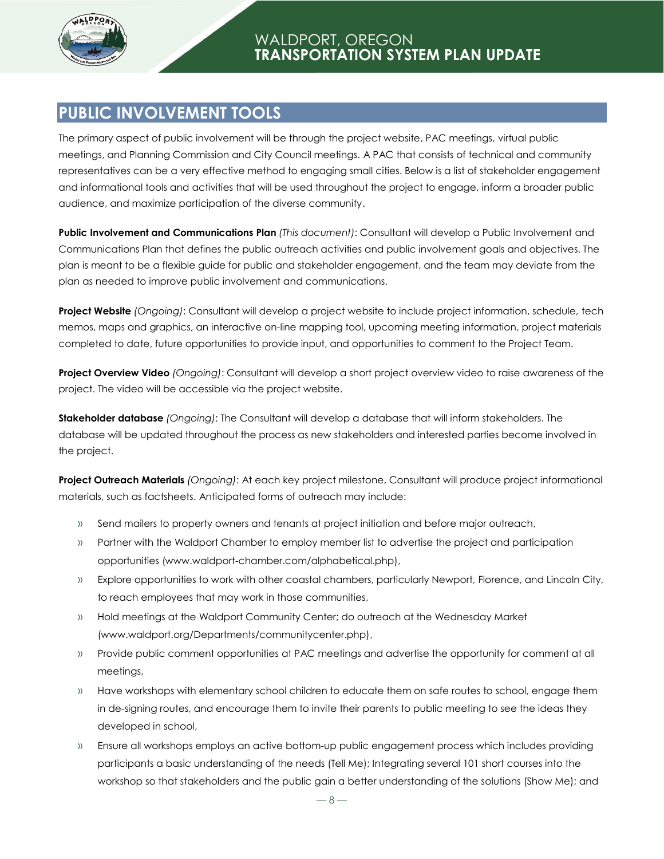

## **PUBLIC INVOLVEMENT TOOLS**

The primary aspect of public involvement will be through the project website, PAC meetings, virtual public meetings, and Planning Commission and City Council meetings. A PAC that consists of technical and community representatives can be a very effective method to engaging small cities. Below is a list of stakeholder engagement and informational tools and activities that will be used throughout the project to engage, inform a broader public audience, and maximize participation of the diverse community.

**Public Involvement and Communications Plan** *(This document)*: Consultant will develop a Public Involvement and Communications Plan that defines the public outreach activities and public involvement goals and objectives. The plan is meant to be a flexible guide for public and stakeholder engagement, and the team may deviate from the plan as needed to improve public involvement and communications.

**Project Website** *(Ongoing)*: Consultant will develop a project website to include project information, schedule, tech memos, maps and graphics, an interactive on-line mapping tool, upcoming meeting information, project materials completed to date, future opportunities to provide input, and opportunities to comment to the Project Team.

**Project Overview Video** *(Ongoing)*: Consultant will develop a short project overview video to raise awareness of the project. The video will be accessible via the project website.

**Stakeholder database** *(Ongoing)*: The Consultant will develop a database that will inform stakeholders. The database will be updated throughout the process as new stakeholders and interested parties become involved in the project.

**Project Outreach Materials** *(Ongoing)*: At each key project milestone, Consultant will produce project informational materials, such as factsheets. Anticipated forms of outreach may include:

- » Send mailers to property owners and tenants at project initiation and before major outreach,
- » Partner with the Waldport Chamber to employ member list to advertise the project and participation opportunities (www.waldport-chamber.com/alphabetical.php),
- » Explore opportunities to work with other coastal chambers, particularly Newport, Florence, and Lincoln City, to reach employees that may work in those communities,
- » Hold meetings at the Waldport Community Center; do outreach at the Wednesday Market (www.waldport.org/Departments/communitycenter.php),
- » Provide public comment opportunities at PAC meetings and advertise the opportunity for comment at all meetings,
- » Have workshops with elementary school children to educate them on safe routes to school, engage them in de-signing routes, and encourage them to invite their parents to public meeting to see the ideas they developed in school,
- » Ensure all workshops employs an active bottom-up public engagement process which includes providing participants a basic understanding of the needs (Tell Me); Integrating several 101 short courses into the workshop so that stakeholders and the public gain a better understanding of the solutions (Show Me); and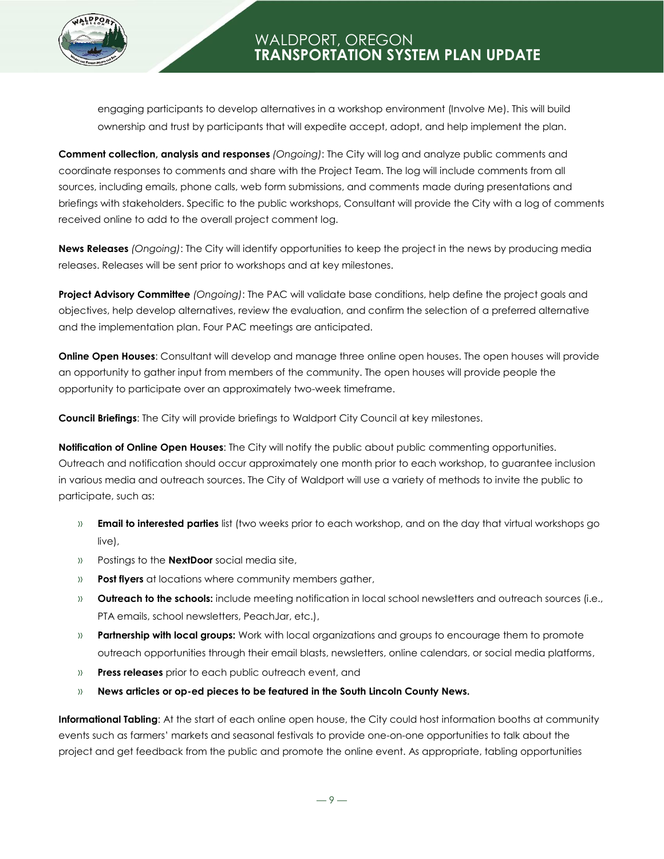

engaging participants to develop alternatives in a workshop environment (Involve Me). This will build ownership and trust by participants that will expedite accept, adopt, and help implement the plan.

**Comment collection, analysis and responses** *(Ongoing)*: The City will log and analyze public comments and coordinate responses to comments and share with the Project Team. The log will include comments from all sources, including emails, phone calls, web form submissions, and comments made during presentations and briefings with stakeholders. Specific to the public workshops, Consultant will provide the City with a log of comments received online to add to the overall project comment log.

**News Releases** *(Ongoing)*: The City will identify opportunities to keep the project in the news by producing media releases. Releases will be sent prior to workshops and at key milestones.

**Project Advisory Committee** *(Ongoing)*: The PAC will validate base conditions, help define the project goals and objectives, help develop alternatives, review the evaluation, and confirm the selection of a preferred alternative and the implementation plan. Four PAC meetings are anticipated.

**Online Open Houses**: Consultant will develop and manage three online open houses. The open houses will provide an opportunity to gather input from members of the community. The open houses will provide people the opportunity to participate over an approximately two-week timeframe.

**Council Briefings**: The City will provide briefings to Waldport City Council at key milestones.

**Notification of Online Open Houses**: The City will notify the public about public commenting opportunities. Outreach and notification should occur approximately one month prior to each workshop, to guarantee inclusion in various media and outreach sources. The City of Waldport will use a variety of methods to invite the public to participate, such as:

- » **Email to interested parties** list (two weeks prior to each workshop, and on the day that virtual workshops go live),
- » Postings to the **NextDoor** social media site,
- » **Post flyers** at locations where community members gather,
- » **Outreach to the schools:** include meeting notification in local school newsletters and outreach sources (i.e., PTA emails, school newsletters, PeachJar, etc.),
- » **Partnership with local groups:** Work with local organizations and groups to encourage them to promote outreach opportunities through their email blasts, newsletters, online calendars, or social media platforms,
- » **Press releases** prior to each public outreach event, and
- » **News articles or op-ed pieces to be featured in the South Lincoln County News.**

**Informational Tabling**: At the start of each online open house, the City could host information booths at community events such as farmers' markets and seasonal festivals to provide one-on-one opportunities to talk about the project and get feedback from the public and promote the online event. As appropriate, tabling opportunities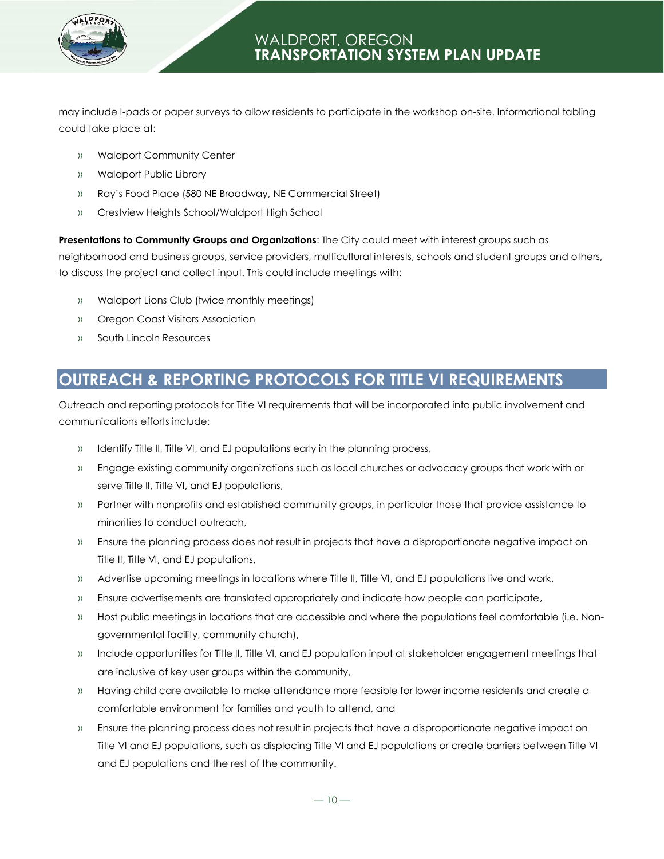

may include I-pads or paper surveys to allow residents to participate in the workshop on-site. Informational tabling could take place at:

- » Waldport Community Center
- » Waldport Public Library
- » Ray's Food Place (580 NE Broadway, NE Commercial Street)
- » Crestview Heights School/Waldport High School

**Presentations to Community Groups and Organizations**: The City could meet with interest groups such as neighborhood and business groups, service providers, multicultural interests, schools and student groups and others, to discuss the project and collect input. This could include meetings with:

- » Waldport Lions Club (twice monthly meetings)
- » Oregon Coast Visitors Association
- » South Lincoln Resources

## **OUTREACH & REPORTING PROTOCOLS FOR TITLE VI REQUIREMENTS**

Outreach and reporting protocols for Title VI requirements that will be incorporated into public involvement and communications efforts include:

- » Identify Title II, Title VI, and EJ populations early in the planning process,
- » Engage existing community organizations such as local churches or advocacy groups that work with or serve Title II, Title VI, and EJ populations,
- » Partner with nonprofits and established community groups, in particular those that provide assistance to minorities to conduct outreach,
- » Ensure the planning process does not result in projects that have a disproportionate negative impact on Title II, Title VI, and EJ populations,
- » Advertise upcoming meetings in locations where Title II, Title VI, and EJ populations live and work,
- » Ensure advertisements are translated appropriately and indicate how people can participate,
- » Host public meetings in locations that are accessible and where the populations feel comfortable (i.e. Nongovernmental facility, community church),
- » Include opportunities for Title II, Title VI, and EJ population input at stakeholder engagement meetings that are inclusive of key user groups within the community,
- » Having child care available to make attendance more feasible for lower income residents and create a comfortable environment for families and youth to attend, and
- » Ensure the planning process does not result in projects that have a disproportionate negative impact on Title VI and EJ populations, such as displacing Title VI and EJ populations or create barriers between Title VI and EJ populations and the rest of the community.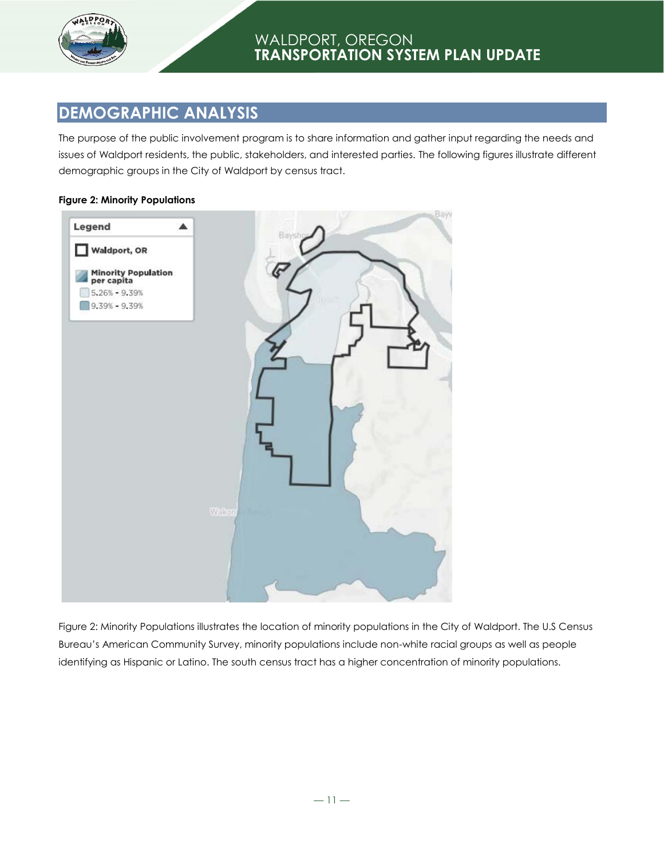

# **DEMOGRAPHIC ANALYSIS**

The purpose of the public involvement program is to share information and gather input regarding the needs and issues of Waldport residents, the public, stakeholders, and interested parties. The following figures illustrate different demographic groups in the City of Waldport by census tract.

#### **Figure 2: Minority Populations**



Figure 2: Minority Populations illustrates the location of minority populations in the City of Waldport. The U.S Census Bureau's American Community Survey, minority populations include non-white racial groups as well as people identifying as Hispanic or Latino. The south census tract has a higher concentration of minority populations.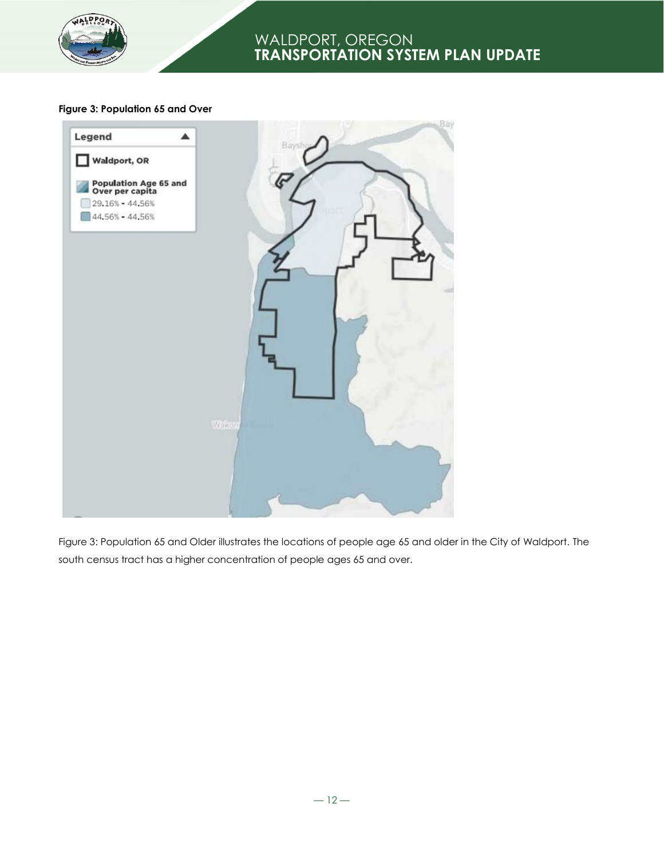

#### **Figure 3: Population 65 and Over**



Figure 3: Population 65 and Older illustrates the locations of people age 65 and older in the City of Waldport. The south census tract has a higher concentration of people ages 65 and over.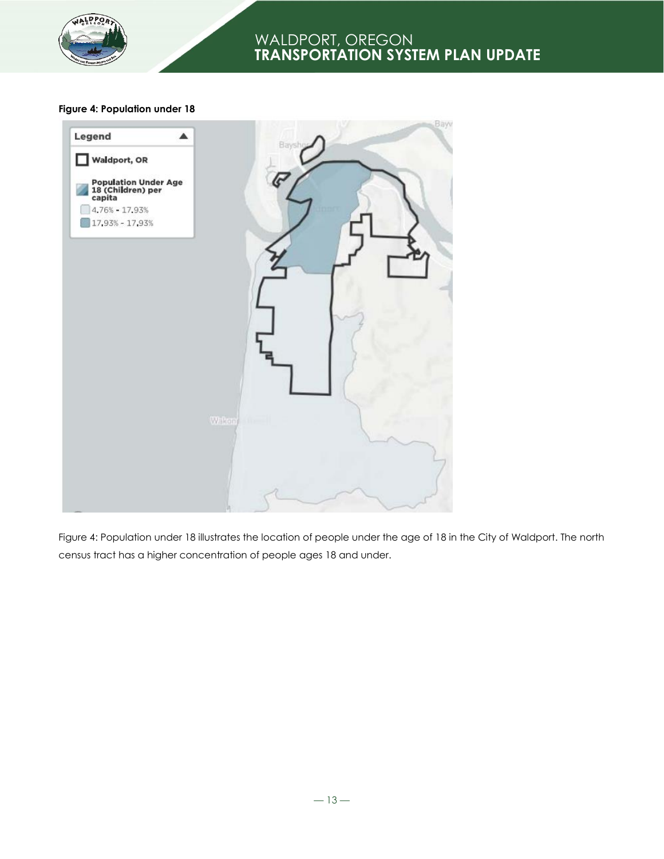

#### **Figure 4: Population under 18**



Figure 4: Population under 18 illustrates the location of people under the age of 18 in the City of Waldport. The north census tract has a higher concentration of people ages 18 and under.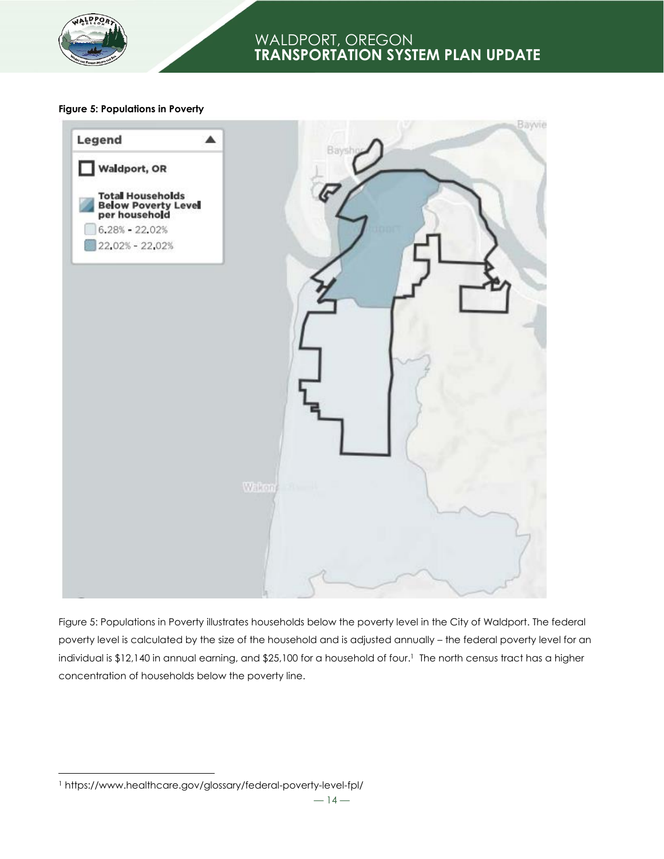

#### **Figure 5: Populations in Poverty**



Figure 5: Populations in Poverty illustrates households below the poverty level in the City of Waldport. The federal poverty level is calculated by the size of the household and is adjusted annually – the federal poverty level for an individual is \$12,140 in annual earning, and \$25,100 for a household of four. <sup>1</sup> The north census tract has a higher concentration of households below the poverty line.

l

<sup>1</sup> https://www.healthcare.gov/glossary/federal-poverty-level-fpl/